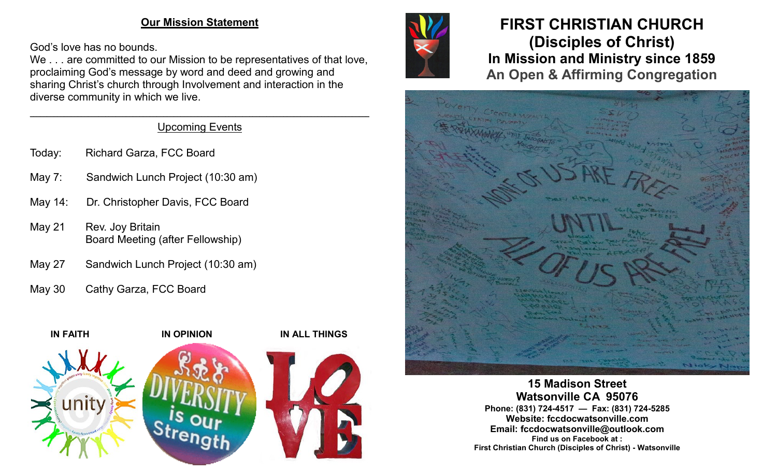#### **Our Mission Statement**

God's love has no bounds.

We . . . are committed to our Mission to be representatives of that love, proclaiming God's message by word and deed and growing and sharing Christ's church through Involvement and interaction in the diverse community in which we live.

#### $\mathcal{L}_\mathcal{L} = \mathcal{L}_\mathcal{L} = \mathcal{L}_\mathcal{L} = \mathcal{L}_\mathcal{L} = \mathcal{L}_\mathcal{L} = \mathcal{L}_\mathcal{L} = \mathcal{L}_\mathcal{L} = \mathcal{L}_\mathcal{L} = \mathcal{L}_\mathcal{L} = \mathcal{L}_\mathcal{L} = \mathcal{L}_\mathcal{L} = \mathcal{L}_\mathcal{L} = \mathcal{L}_\mathcal{L} = \mathcal{L}_\mathcal{L} = \mathcal{L}_\mathcal{L} = \mathcal{L}_\mathcal{L} = \mathcal{L}_\mathcal{L}$ Upcoming Events

- Today: Richard Garza, FCC Board
- May 7: Sandwich Lunch Project (10:30 am)
- May 14: Dr. Christopher Davis, FCC Board
- May 21 Rev. Joy Britain Board Meeting (after Fellowship)
- May 27 Sandwich Lunch Project (10:30 am)
- May 30 Cathy Garza, FCC Board





# **FIRST CHRISTIAN CHURCH (Disciples of Christ) In Mission and Ministry since 1859 An Open & Affirming Congregation**



**15 Madison Street Watsonville CA 95076 Phone: (831) 724-4517 — Fax: (831) 724-5285 Website: fccdocwatsonville.com Email: fccdocwatsonville@outlook.com Find us on Facebook at : First Christian Church (Disciples of Christ) - Watsonville**